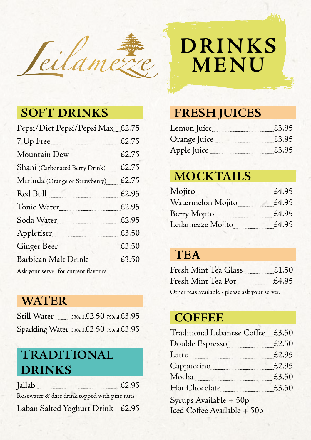

# **DRINKS MENU**

### **SOFT DRINKS**

| Pepsi/Diet Pepsi/Pepsi Max_£2.75     |       |
|--------------------------------------|-------|
| 7 Up Free                            | £2.75 |
| Mountain Dew                         | £2.75 |
| Shani (Carbonated Berry Drink)       | £2.75 |
| Mirinda (Orange or Strawberry) £2.75 |       |
| Red Bull                             | £2.95 |
| Tonic Water                          | £2.95 |
| Soda Water                           | £2.95 |
| Appletiser                           | £3.50 |
| Ginger Beer                          | £3.50 |
| Barbican Malt Drink                  | £3.50 |
|                                      |       |

Ask your server for current flavours

#### **WATER**

| Still Water                             | 330ml $£2.50$ 750ml £3.95 |  |
|-----------------------------------------|---------------------------|--|
| Sparkling Water 330ml £2.50 750ml £3.95 |                           |  |

### **TRADITIONAL DRINKS**

Jallab £2.95

Rosewater & date drink topped with pine nuts

Laban Salted Yoghurt Drink £2.95

#### **FRESH JUICES**

| Lemon Juice  | £3.95 |
|--------------|-------|
| Orange Juice | £3.95 |
| Apple Juice  | £3.95 |

#### **MOCKTAILS**

| Mojito            | £4.95 |
|-------------------|-------|
| Watermelon Mojito | £4.95 |
| Berry Mojito      | £4.95 |
| Leilamezze Mojito | £4.95 |

#### **TEA**

| Fresh Mint Tea Glass                           | £1.50 |
|------------------------------------------------|-------|
| Fresh Mint Tea Pot                             | £4.95 |
| Other teas available - please ask your server. |       |

### **COFFEE**

| Traditional Lebanese Coffee £3.50                     |       |
|-------------------------------------------------------|-------|
| Double Espresso £2.50                                 |       |
|                                                       | £2.95 |
| Cappuccino                                            | £2.95 |
| Mocha                                                 | £3.50 |
| Hot Chocolate                                         | £3.50 |
| Syrups Available + 50p<br>Iced Coffee Available + 50p |       |